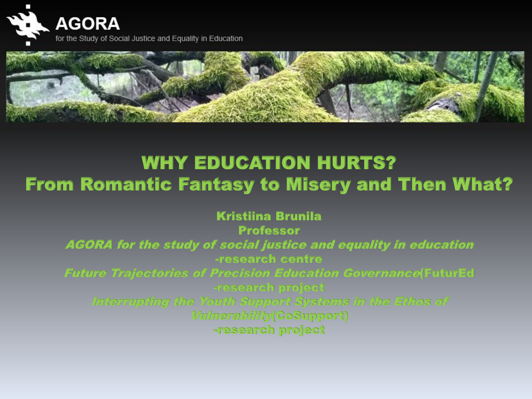



## WHY EDUCATION HURTS? From Romantic Fantasy to Misery and Then What?

Kristiina Brunila Professor AGORA for the study of social justice and equality in education -research centre Future Trajectories of Precision Education Governance(FuturEd -research project Interrupting the Youth Support Systems in the Ethos of Vulnerability(CoSupport) -research project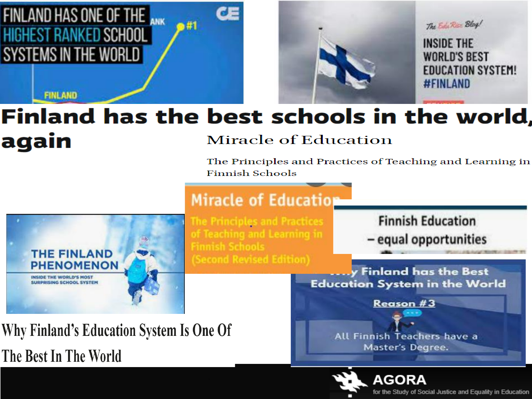### FINLAND HAS ONE OF THE **HIGHEST RANKED SCHOOL** SYSTEMS IN THE WORLD

**FINLAND** 



### Finland has the best schools in the world, again **Miracle of Education**

ᅊ

 $\rightarrow 41$ 

The Principles and Practices of Teaching and Learning in **Finnish Schools** 

### **Miracle of Education**



The Principles and Practices of Teaching and Learning in Finnish Schools (Second Revised Edition)

**Finnish Education** - equal opportunities

**Finland has the Best Education System in the World** 

Why Finland's Education System Is One Of The Best In The World



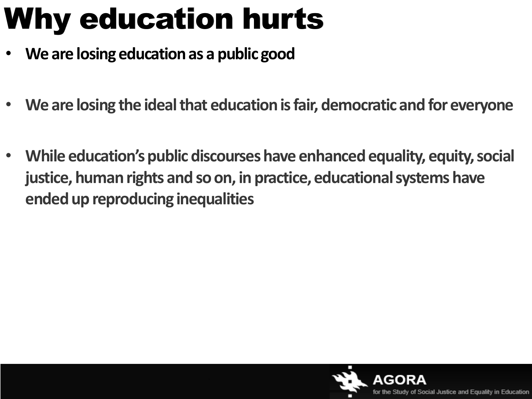# Why education hurts

- **We are losing educationas a public good**
- **We are losing the ideal that education is fair, democratic and for everyone**
- **While education's public discourses have enhanced equality, equity, social justice, human rights and so on, in practice, educational systems have ended up reproducing inequalities**

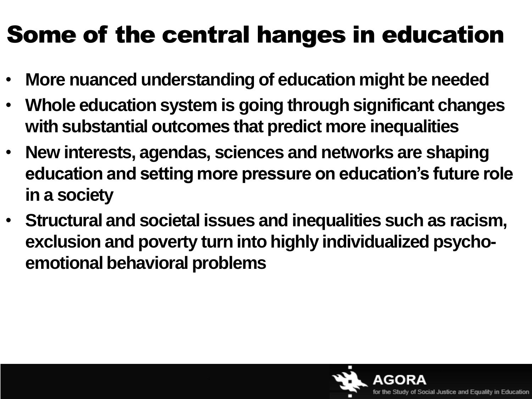## Some of the central hanges in education

- **More nuanced understanding of education might be needed**
- **Whole education system is going through significant changes with substantial outcomes that predict more inequalities**
- **New interests, agendas, sciences and networks are shaping education and setting more pressure on education's future role in a society**
- **Structural and societal issues and inequalities such as racism, exclusion and poverty turn into highly individualized psychoemotional behavioral problems**

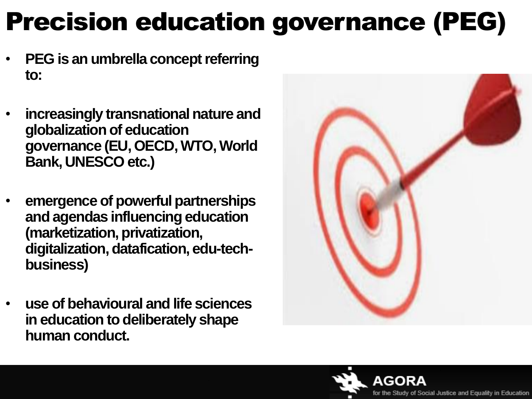## Precision education governance (PEG)

- **PEG is an umbrella concept referring to:**
- **increasingly transnational nature and globalization of education governance (EU, OECD, WTO, World Bank, UNESCO etc.)**
- **emergence of powerful partnerships and agendas influencing education (marketization, privatization, digitalization, datafication, edu-techbusiness)**
- **use of behavioural and life sciences in education to deliberately shape human conduct.**



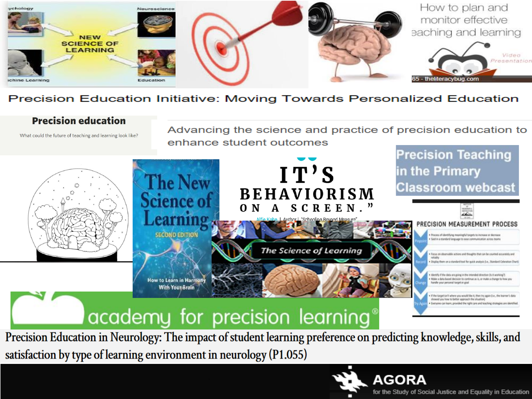

#### Precision Education Initiative: Moving Towards Personalized Education

#### **Precision education**

What could the future of teaching and learning look like?

Advancing the science and practice of precision education to enhance student outcomes



Precision Education in Neurology: The impact of student learning preference on predicting knowledge, skills, and satisfaction by type of learning environment in neurology (P1.055)

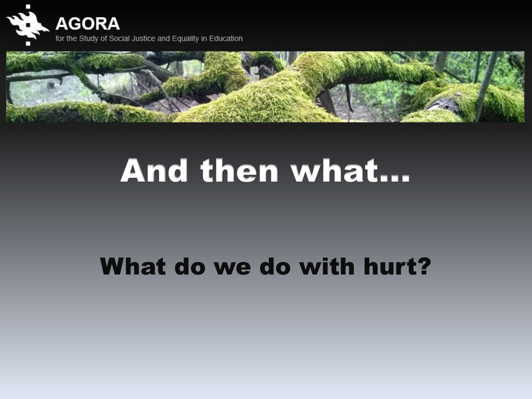



# And then what…

## What do we do with hurt?